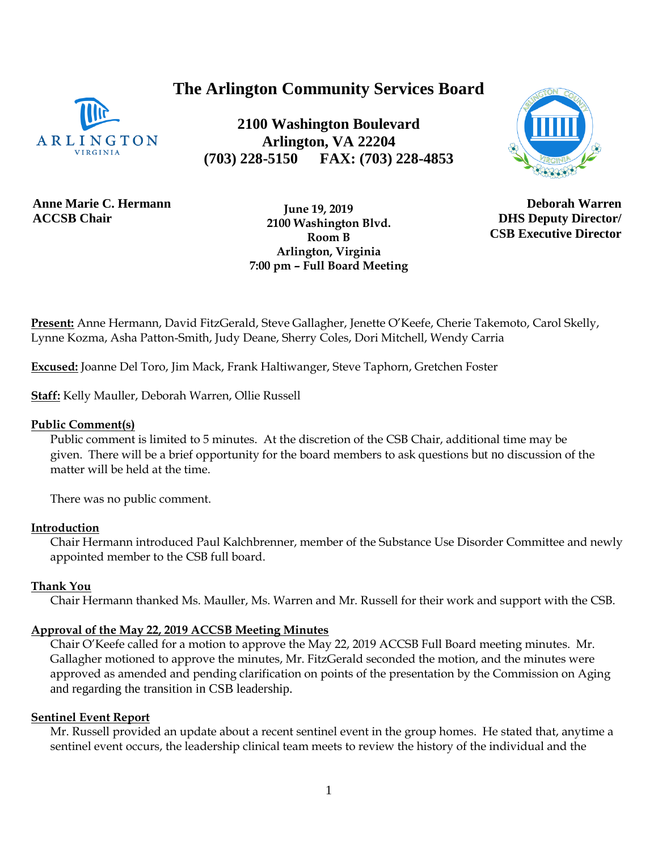# **The Arlington Community Services Board**



**2100 Washington Boulevard Arlington, VA 22204 (703) 228-5150 FAX: (703) 228-4853**



**Anne Marie C. Hermann ACCSB Chair**

 **June 19, 2019 2100 Washington Blvd. Room B Arlington, Virginia 7:00 pm – Full Board Meeting**

**Deborah Warren DHS Deputy Director/ CSB Executive Director**

**Present:** Anne Hermann, David FitzGerald, Steve Gallagher, Jenette O'Keefe, Cherie Takemoto, Carol Skelly, Lynne Kozma, Asha Patton-Smith, Judy Deane, Sherry Coles, Dori Mitchell, Wendy Carria

**Excused:** Joanne Del Toro, Jim Mack, Frank Haltiwanger, Steve Taphorn, Gretchen Foster

**Staff:** Kelly Mauller, Deborah Warren, Ollie Russell

#### **Public Comment(s)**

Public comment is limited to 5 minutes. At the discretion of the CSB Chair, additional time may be given. There will be a brief opportunity for the board members to ask questions [but](http://but.no/) no discussion of the matter will be held at the time.

There was no public comment.

#### **Introduction**

Chair Hermann introduced Paul Kalchbrenner, member of the Substance Use Disorder Committee and newly appointed member to the CSB full board.

#### **Thank You**

Chair Hermann thanked Ms. Mauller, Ms. Warren and Mr. Russell for their work and support with the CSB.

#### **Approval of the May 22, 2019 ACCSB Meeting Minutes**

Chair O'Keefe called for a motion to approve the May 22, 2019 ACCSB Full Board meeting minutes. Mr. Gallagher motioned to approve the minutes, Mr. FitzGerald seconded the motion, and the minutes were approved as amended and pending clarification on points of the presentation by the Commission on Aging and regarding the transition in CSB leadership.

#### **Sentinel Event Report**

Mr. Russell provided an update about a recent sentinel event in the group homes. He stated that, anytime a sentinel event occurs, the leadership clinical team meets to review the history of the individual and the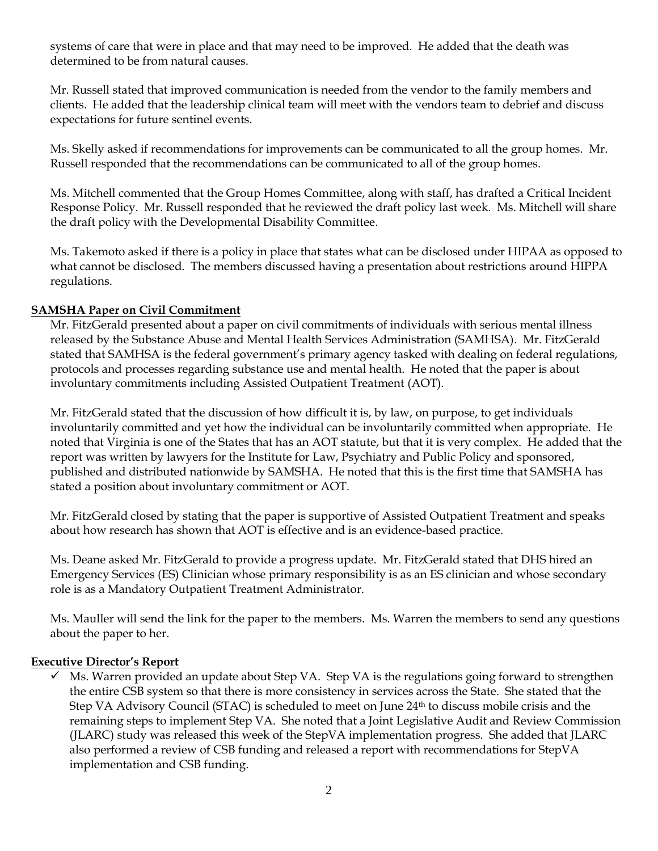systems of care that were in place and that may need to be improved. He added that the death was determined to be from natural causes.

Mr. Russell stated that improved communication is needed from the vendor to the family members and clients. He added that the leadership clinical team will meet with the vendors team to debrief and discuss expectations for future sentinel events.

Ms. Skelly asked if recommendations for improvements can be communicated to all the group homes. Mr. Russell responded that the recommendations can be communicated to all of the group homes.

Ms. Mitchell commented that the Group Homes Committee, along with staff, has drafted a Critical Incident Response Policy. Mr. Russell responded that he reviewed the draft policy last week. Ms. Mitchell will share the draft policy with the Developmental Disability Committee.

Ms. Takemoto asked if there is a policy in place that states what can be disclosed under HIPAA as opposed to what cannot be disclosed. The members discussed having a presentation about restrictions around HIPPA regulations.

## **SAMSHA Paper on Civil Commitment**

Mr. FitzGerald presented about a paper on civil commitments of individuals with serious mental illness released by the Substance Abuse and Mental Health Services Administration (SAMHSA). Mr. FitzGerald stated that SAMHSA is the federal government's primary agency tasked with dealing on federal regulations, protocols and processes regarding substance use and mental health. He noted that the paper is about involuntary commitments including Assisted Outpatient Treatment (AOT).

Mr. FitzGerald stated that the discussion of how difficult it is, by law, on purpose, to get individuals involuntarily committed and yet how the individual can be involuntarily committed when appropriate. He noted that Virginia is one of the States that has an AOT statute, but that it is very complex. He added that the report was written by lawyers for the Institute for Law, Psychiatry and Public Policy and sponsored, published and distributed nationwide by SAMSHA. He noted that this is the first time that SAMSHA has stated a position about involuntary commitment or AOT.

Mr. FitzGerald closed by stating that the paper is supportive of Assisted Outpatient Treatment and speaks about how research has shown that AOT is effective and is an evidence-based practice.

Ms. Deane asked Mr. FitzGerald to provide a progress update. Mr. FitzGerald stated that DHS hired an Emergency Services (ES) Clinician whose primary responsibility is as an ES clinician and whose secondary role is as a Mandatory Outpatient Treatment Administrator.

Ms. Mauller will send the link for the paper to the members. Ms. Warren the members to send any questions about the paper to her.

### **Executive Director's Report**

 $\checkmark$  Ms. Warren provided an update about Step VA. Step VA is the regulations going forward to strengthen the entire CSB system so that there is more consistency in services across the State. She stated that the Step VA Advisory Council (STAC) is scheduled to meet on June 24<sup>th</sup> to discuss mobile crisis and the remaining steps to implement Step VA. She noted that a Joint Legislative Audit and Review Commission (JLARC) study was released this week of the StepVA implementation progress. She added that JLARC also performed a review of CSB funding and released a report with recommendations for StepVA implementation and CSB funding.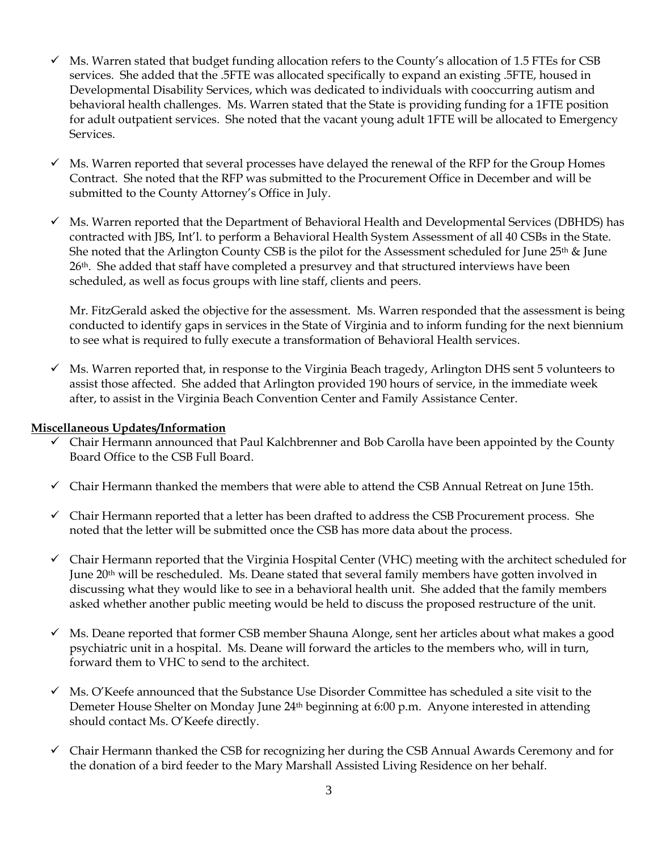- $\checkmark$  Ms. Warren stated that budget funding allocation refers to the County's allocation of 1.5 FTEs for CSB services. She added that the .5FTE was allocated specifically to expand an existing .5FTE, housed in Developmental Disability Services, which was dedicated to individuals with cooccurring autism and behavioral health challenges. Ms. Warren stated that the State is providing funding for a 1FTE position for adult outpatient services. She noted that the vacant young adult 1FTE will be allocated to Emergency Services.
- ✓ Ms. Warren reported that several processes have delayed the renewal of the RFP for the Group Homes Contract. She noted that the RFP was submitted to the Procurement Office in December and will be submitted to the County Attorney's Office in July.
- ✓ Ms. Warren reported that the Department of Behavioral Health and Developmental Services (DBHDS) has contracted with JBS, Int'l. to perform a Behavioral Health System Assessment of all 40 CSBs in the State. She noted that the Arlington County CSB is the pilot for the Assessment scheduled for June  $25<sup>th</sup>$  & June 26th. She added that staff have completed a presurvey and that structured interviews have been scheduled, as well as focus groups with line staff, clients and peers.

Mr. FitzGerald asked the objective for the assessment. Ms. Warren responded that the assessment is being conducted to identify gaps in services in the State of Virginia and to inform funding for the next biennium to see what is required to fully execute a transformation of Behavioral Health services.

 $\checkmark$  Ms. Warren reported that, in response to the Virginia Beach tragedy, Arlington DHS sent 5 volunteers to assist those affected. She added that Arlington provided 190 hours of service, in the immediate week after, to assist in the Virginia Beach Convention Center and Family Assistance Center.

## **Miscellaneous Updates/Information**

- Chair Hermann announced that Paul Kalchbrenner and Bob Carolla have been appointed by the County Board Office to the CSB Full Board.
- ✓ Chair Hermann thanked the members that were able to attend the CSB Annual Retreat on June 15th.
- $\checkmark$  Chair Hermann reported that a letter has been drafted to address the CSB Procurement process. She noted that the letter will be submitted once the CSB has more data about the process.
- $\checkmark$  Chair Hermann reported that the Virginia Hospital Center (VHC) meeting with the architect scheduled for June 20th will be rescheduled. Ms. Deane stated that several family members have gotten involved in discussing what they would like to see in a behavioral health unit. She added that the family members asked whether another public meeting would be held to discuss the proposed restructure of the unit.
- ✓ Ms. Deane reported that former CSB member Shauna Alonge, sent her articles about what makes a good psychiatric unit in a hospital. Ms. Deane will forward the articles to the members who, will in turn, forward them to VHC to send to the architect.
- $\checkmark$  Ms. O'Keefe announced that the Substance Use Disorder Committee has scheduled a site visit to the Demeter House Shelter on Monday June 24th beginning at 6:00 p.m. Anyone interested in attending should contact Ms. O'Keefe directly.
- ✓ Chair Hermann thanked the CSB for recognizing her during the CSB Annual Awards Ceremony and for the donation of a bird feeder to the Mary Marshall Assisted Living Residence on her behalf.